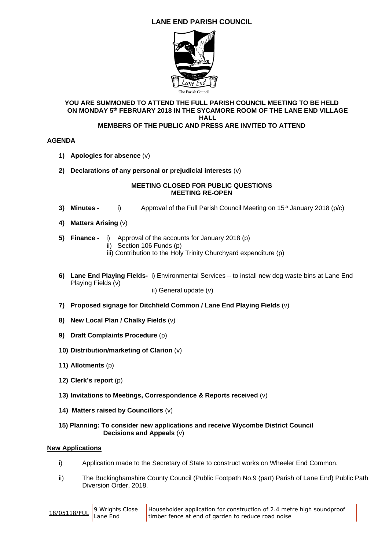# **LANE END PARISH COUNCIL**



#### **YOU ARE SUMMONED TO ATTEND THE FULL PARISH COUNCIL MEETING TO BE HELD ON MONDAY 5th FEBRUARY 2018 IN THE SYCAMORE ROOM OF THE LANE END VILLAGE HALL**

# **MEMBERS OF THE PUBLIC AND PRESS ARE INVITED TO ATTEND**

### **AGENDA**

- **1) Apologies for absence** (v)
- **2) Declarations of any personal or prejudicial interests** (v)

#### **MEETING CLOSED FOR PUBLIC QUESTIONS MEETING RE-OPEN**

- **3) Minutes - i)** Approval of the Full Parish Council Meeting on 15<sup>th</sup> January 2018 (p/c)
- **4) Matters Arising** (v)
- **5) Finance** i) Approval of the accounts for January 2018 (p)
	- ii) Section 106 Funds (p)
	- iii) Contribution to the Holy Trinity Churchyard expenditure (p)
- **6) Lane End Playing Fields-** i) Environmental Services to install new dog waste bins at Lane End Playing Fields (v)

ii) General update (v)

- **7) Proposed signage for Ditchfield Common / Lane End Playing Fields** (v)
- **8) New Local Plan / Chalky Fields** (v)
- **9) Draft Complaints Procedure** (p)
- **10) Distribution/marketing of Clarion** (v)
- **11) Allotments** (p)
- **12) Clerk's report** (p)
- **13) Invitations to Meetings, Correspondence & Reports received** (v)
- **14) Matters raised by Councillors** (v)
- **15) Planning: To consider new applications and receive Wycombe District Council Decisions and Appeals** (v)

#### **New Applications**

- i) Application made to the Secretary of State to construct works on Wheeler End Common.
- ii) The Buckinghamshire County Council (Public Footpath No.9 (part) Parish of Lane End) Public Path Diversion Order, 2018.